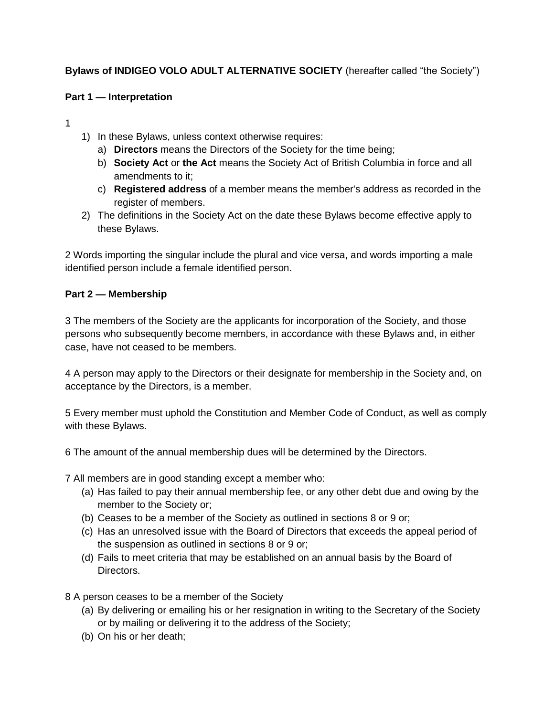# **Bylaws of INDIGEO VOLO ADULT ALTERNATIVE SOCIETY** (hereafter called "the Society")

#### **Part 1 — Interpretation**

1

- 1) In these Bylaws, unless context otherwise requires:
	- a) **Directors** means the Directors of the Society for the time being;
	- b) **Society Act** or **the Act** means the Society Act of British Columbia in force and all amendments to it;
	- c) **Registered address** of a member means the member's address as recorded in the register of members.
- 2) The definitions in the Society Act on the date these Bylaws become effective apply to these Bylaws.

2 Words importing the singular include the plural and vice versa, and words importing a male identified person include a female identified person.

#### **Part 2 — Membership**

3 The members of the Society are the applicants for incorporation of the Society, and those persons who subsequently become members, in accordance with these Bylaws and, in either case, have not ceased to be members.

4 A person may apply to the Directors or their designate for membership in the Society and, on acceptance by the Directors, is a member.

5 Every member must uphold the Constitution and Member Code of Conduct, as well as comply with these Bylaws.

6 The amount of the annual membership dues will be determined by the Directors.

7 All members are in good standing except a member who:

- (a) Has failed to pay their annual membership fee, or any other debt due and owing by the member to the Society or;
- (b) Ceases to be a member of the Society as outlined in sections 8 or 9 or;
- (c) Has an unresolved issue with the Board of Directors that exceeds the appeal period of the suspension as outlined in sections 8 or 9 or;
- (d) Fails to meet criteria that may be established on an annual basis by the Board of Directors.

8 A person ceases to be a member of the Society

- (a) By delivering or emailing his or her resignation in writing to the Secretary of the Society or by mailing or delivering it to the address of the Society;
- (b) On his or her death;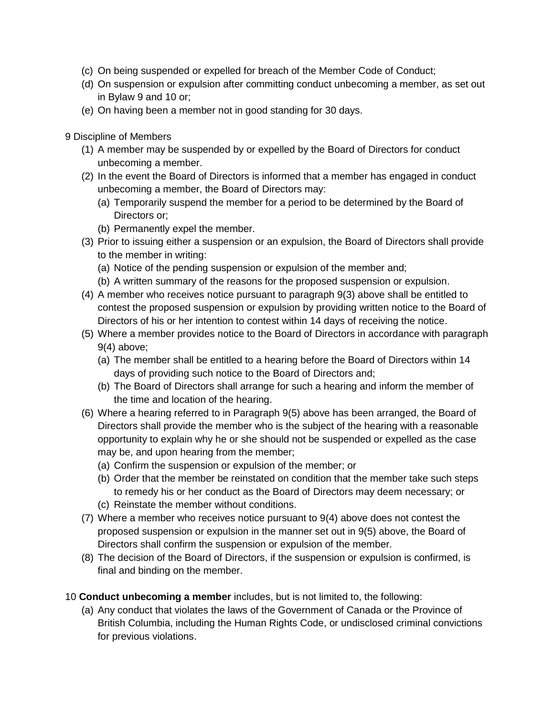- (c) On being suspended or expelled for breach of the Member Code of Conduct;
- (d) On suspension or expulsion after committing conduct unbecoming a member, as set out in Bylaw 9 and 10 or;
- (e) On having been a member not in good standing for 30 days.

9 Discipline of Members

- (1) A member may be suspended by or expelled by the Board of Directors for conduct unbecoming a member.
- (2) In the event the Board of Directors is informed that a member has engaged in conduct unbecoming a member, the Board of Directors may:
	- (a) Temporarily suspend the member for a period to be determined by the Board of Directors or;
	- (b) Permanently expel the member.
- (3) Prior to issuing either a suspension or an expulsion, the Board of Directors shall provide to the member in writing:
	- (a) Notice of the pending suspension or expulsion of the member and;
	- (b) A written summary of the reasons for the proposed suspension or expulsion.
- (4) A member who receives notice pursuant to paragraph 9(3) above shall be entitled to contest the proposed suspension or expulsion by providing written notice to the Board of Directors of his or her intention to contest within 14 days of receiving the notice.
- (5) Where a member provides notice to the Board of Directors in accordance with paragraph 9(4) above;
	- (a) The member shall be entitled to a hearing before the Board of Directors within 14 days of providing such notice to the Board of Directors and;
	- (b) The Board of Directors shall arrange for such a hearing and inform the member of the time and location of the hearing.
- (6) Where a hearing referred to in Paragraph 9(5) above has been arranged, the Board of Directors shall provide the member who is the subject of the hearing with a reasonable opportunity to explain why he or she should not be suspended or expelled as the case may be, and upon hearing from the member;
	- (a) Confirm the suspension or expulsion of the member; or
	- (b) Order that the member be reinstated on condition that the member take such steps to remedy his or her conduct as the Board of Directors may deem necessary; or
	- (c) Reinstate the member without conditions.
- (7) Where a member who receives notice pursuant to 9(4) above does not contest the proposed suspension or expulsion in the manner set out in 9(5) above, the Board of Directors shall confirm the suspension or expulsion of the member.
- (8) The decision of the Board of Directors, if the suspension or expulsion is confirmed, is final and binding on the member.

10 **Conduct unbecoming a member** includes, but is not limited to, the following:

(a) Any conduct that violates the laws of the Government of Canada or the Province of British Columbia, including the Human Rights Code, or undisclosed criminal convictions for previous violations.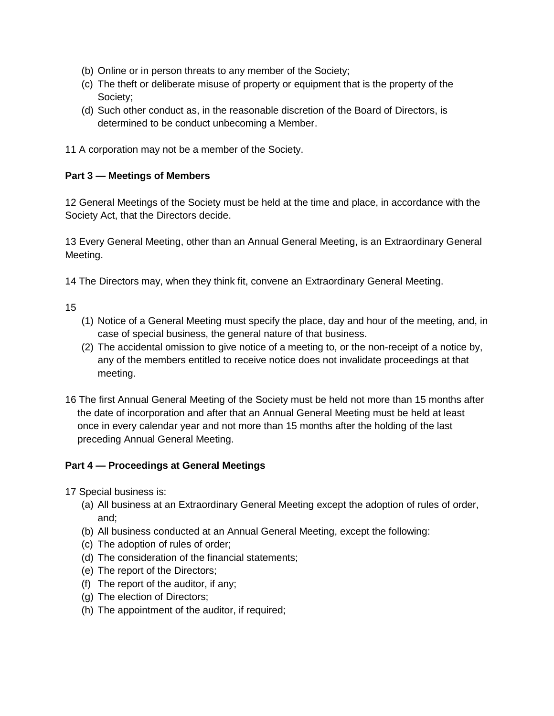- (b) Online or in person threats to any member of the Society;
- (c) The theft or deliberate misuse of property or equipment that is the property of the Society;
- (d) Such other conduct as, in the reasonable discretion of the Board of Directors, is determined to be conduct unbecoming a Member.

11 A corporation may not be a member of the Society.

#### **Part 3 — Meetings of Members**

12 General Meetings of the Society must be held at the time and place, in accordance with the Society Act, that the Directors decide.

13 Every General Meeting, other than an Annual General Meeting, is an Extraordinary General Meeting.

14 The Directors may, when they think fit, convene an Extraordinary General Meeting.

15

- (1) Notice of a General Meeting must specify the place, day and hour of the meeting, and, in case of special business, the general nature of that business.
- (2) The accidental omission to give notice of a meeting to, or the non-receipt of a notice by, any of the members entitled to receive notice does not invalidate proceedings at that meeting.
- 16 The first Annual General Meeting of the Society must be held not more than 15 months after the date of incorporation and after that an Annual General Meeting must be held at least once in every calendar year and not more than 15 months after the holding of the last preceding Annual General Meeting.

## **Part 4 — Proceedings at General Meetings**

17 Special business is:

- (a) All business at an Extraordinary General Meeting except the adoption of rules of order, and;
- (b) All business conducted at an Annual General Meeting, except the following:
- (c) The adoption of rules of order;
- (d) The consideration of the financial statements;
- (e) The report of the Directors;
- (f) The report of the auditor, if any;
- (g) The election of Directors;
- (h) The appointment of the auditor, if required;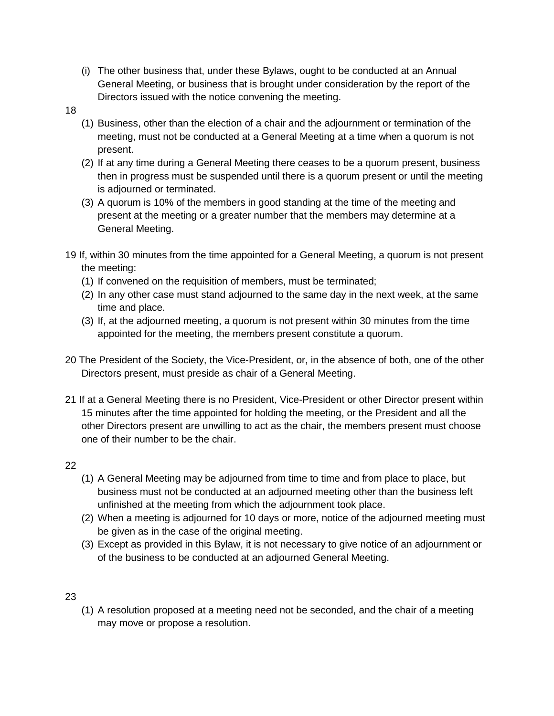- (i) The other business that, under these Bylaws, ought to be conducted at an Annual General Meeting, or business that is brought under consideration by the report of the Directors issued with the notice convening the meeting.
- 18
- (1) Business, other than the election of a chair and the adjournment or termination of the meeting, must not be conducted at a General Meeting at a time when a quorum is not present.
- (2) If at any time during a General Meeting there ceases to be a quorum present, business then in progress must be suspended until there is a quorum present or until the meeting is adjourned or terminated.
- (3) A quorum is 10% of the members in good standing at the time of the meeting and present at the meeting or a greater number that the members may determine at a General Meeting.
- 19 If, within 30 minutes from the time appointed for a General Meeting, a quorum is not present the meeting:
	- (1) If convened on the requisition of members, must be terminated;
	- (2) In any other case must stand adjourned to the same day in the next week, at the same time and place.
	- (3) If, at the adjourned meeting, a quorum is not present within 30 minutes from the time appointed for the meeting, the members present constitute a quorum.
- 20 The President of the Society, the Vice-President, or, in the absence of both, one of the other Directors present, must preside as chair of a General Meeting.
- 21 If at a General Meeting there is no President, Vice-President or other Director present within 15 minutes after the time appointed for holding the meeting, or the President and all the other Directors present are unwilling to act as the chair, the members present must choose one of their number to be the chair.

## 22

- (1) A General Meeting may be adjourned from time to time and from place to place, but business must not be conducted at an adjourned meeting other than the business left unfinished at the meeting from which the adjournment took place.
- (2) When a meeting is adjourned for 10 days or more, notice of the adjourned meeting must be given as in the case of the original meeting.
- (3) Except as provided in this Bylaw, it is not necessary to give notice of an adjournment or of the business to be conducted at an adjourned General Meeting.

## 23

(1) A resolution proposed at a meeting need not be seconded, and the chair of a meeting may move or propose a resolution.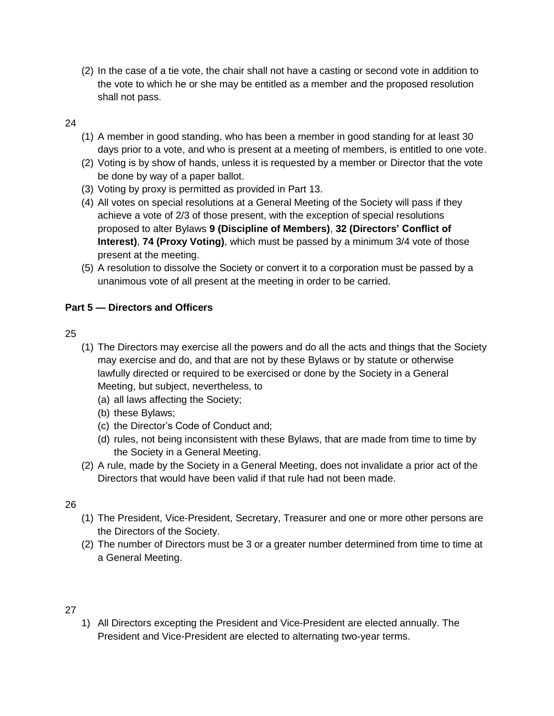(2) In the case of a tie vote, the chair shall not have a casting or second vote in addition to the vote to which he or she may be entitled as a member and the proposed resolution shall not pass.

## 24

- (1) A member in good standing, who has been a member in good standing for at least 30 days prior to a vote, and who is present at a meeting of members, is entitled to one vote.
- (2) Voting is by show of hands, unless it is requested by a member or Director that the vote be done by way of a paper ballot.
- (3) Voting by proxy is permitted as provided in Part 13.
- (4) All votes on special resolutions at a General Meeting of the Society will pass if they achieve a vote of 2/3 of those present, with the exception of special resolutions proposed to alter Bylaws **9 (Discipline of Members)**, **32 (Directors' Conflict of Interest)**, **74 (Proxy Voting)**, which must be passed by a minimum 3/4 vote of those present at the meeting.
- (5) A resolution to dissolve the Society or convert it to a corporation must be passed by a unanimous vote of all present at the meeting in order to be carried.

# **Part 5 — Directors and Officers**

## 25

- (1) The Directors may exercise all the powers and do all the acts and things that the Society may exercise and do, and that are not by these Bylaws or by statute or otherwise lawfully directed or required to be exercised or done by the Society in a General Meeting, but subject, nevertheless, to
	- (a) all laws affecting the Society;
	- (b) these Bylaws;
	- (c) the Director's Code of Conduct and;
	- (d) rules, not being inconsistent with these Bylaws, that are made from time to time by the Society in a General Meeting.
- (2) A rule, made by the Society in a General Meeting, does not invalidate a prior act of the Directors that would have been valid if that rule had not been made.

## 26

- (1) The President, Vice-President, Secretary, Treasurer and one or more other persons are the Directors of the Society.
- (2) The number of Directors must be 3 or a greater number determined from time to time at a General Meeting.

## 27

1) All Directors excepting the President and Vice-President are elected annually. The President and Vice-President are elected to alternating two-year terms.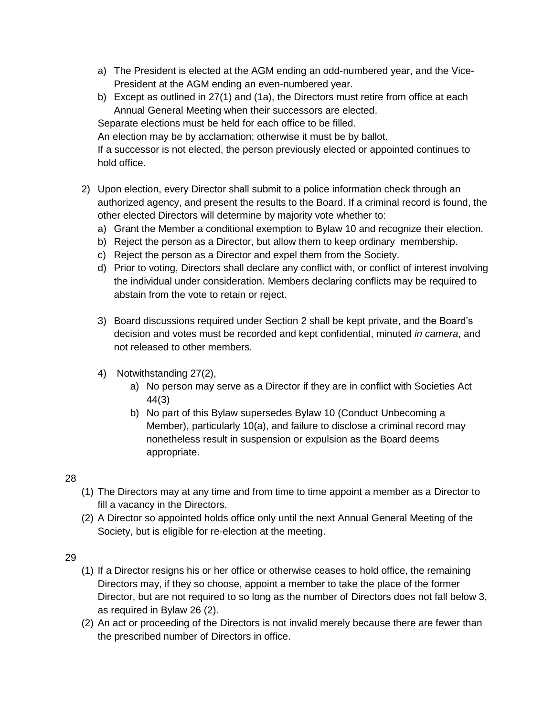- a) The President is elected at the AGM ending an odd-numbered year, and the Vice-President at the AGM ending an even-numbered year.
- b) Except as outlined in 27(1) and (1a), the Directors must retire from office at each Annual General Meeting when their successors are elected.

Separate elections must be held for each office to be filled.

An election may be by acclamation; otherwise it must be by ballot.

If a successor is not elected, the person previously elected or appointed continues to hold office.

- 2) Upon election, every Director shall submit to a police information check through an authorized agency, and present the results to the Board. If a criminal record is found, the other elected Directors will determine by majority vote whether to:
	- a) Grant the Member a conditional exemption to Bylaw 10 and recognize their election.
	- b) Reject the person as a Director, but allow them to keep ordinary membership.
	- c) Reject the person as a Director and expel them from the Society.
	- d) Prior to voting, Directors shall declare any conflict with, or conflict of interest involving the individual under consideration. Members declaring conflicts may be required to abstain from the vote to retain or reject.
	- 3) Board discussions required under Section 2 shall be kept private, and the Board's decision and votes must be recorded and kept confidential, minuted *in camera*, and not released to other members.
	- 4) Notwithstanding 27(2),
		- a) No person may serve as a Director if they are in conflict with Societies Act 44(3)
		- b) No part of this Bylaw supersedes Bylaw 10 (Conduct Unbecoming a Member), particularly 10(a), and failure to disclose a criminal record may nonetheless result in suspension or expulsion as the Board deems appropriate.

## 28

- (1) The Directors may at any time and from time to time appoint a member as a Director to fill a vacancy in the Directors.
- (2) A Director so appointed holds office only until the next Annual General Meeting of the Society, but is eligible for re-election at the meeting.

## 29

- (1) If a Director resigns his or her office or otherwise ceases to hold office, the remaining Directors may, if they so choose, appoint a member to take the place of the former Director, but are not required to so long as the number of Directors does not fall below 3, as required in Bylaw 26 (2).
- (2) An act or proceeding of the Directors is not invalid merely because there are fewer than the prescribed number of Directors in office.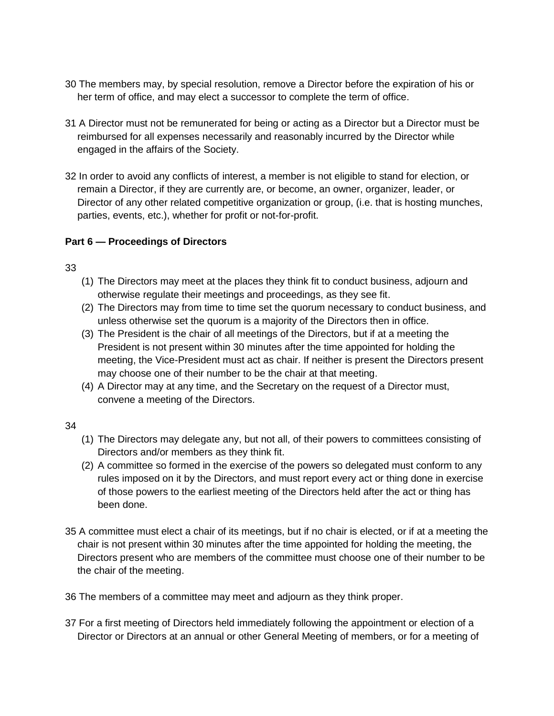- 30 The members may, by special resolution, remove a Director before the expiration of his or her term of office, and may elect a successor to complete the term of office.
- 31 A Director must not be remunerated for being or acting as a Director but a Director must be reimbursed for all expenses necessarily and reasonably incurred by the Director while engaged in the affairs of the Society.
- 32 In order to avoid any conflicts of interest, a member is not eligible to stand for election, or remain a Director, if they are currently are, or become, an owner, organizer, leader, or Director of any other related competitive organization or group, (i.e. that is hosting munches, parties, events, etc.), whether for profit or not-for-profit.

## **Part 6 — Proceedings of Directors**

# 33

- (1) The Directors may meet at the places they think fit to conduct business, adjourn and otherwise regulate their meetings and proceedings, as they see fit.
- (2) The Directors may from time to time set the quorum necessary to conduct business, and unless otherwise set the quorum is a majority of the Directors then in office.
- (3) The President is the chair of all meetings of the Directors, but if at a meeting the President is not present within 30 minutes after the time appointed for holding the meeting, the Vice-President must act as chair. If neither is present the Directors present may choose one of their number to be the chair at that meeting.
- (4) A Director may at any time, and the Secretary on the request of a Director must, convene a meeting of the Directors.

## 34

- (1) The Directors may delegate any, but not all, of their powers to committees consisting of Directors and/or members as they think fit.
- (2) A committee so formed in the exercise of the powers so delegated must conform to any rules imposed on it by the Directors, and must report every act or thing done in exercise of those powers to the earliest meeting of the Directors held after the act or thing has been done.
- 35 A committee must elect a chair of its meetings, but if no chair is elected, or if at a meeting the chair is not present within 30 minutes after the time appointed for holding the meeting, the Directors present who are members of the committee must choose one of their number to be the chair of the meeting.

36 The members of a committee may meet and adjourn as they think proper.

37 For a first meeting of Directors held immediately following the appointment or election of a Director or Directors at an annual or other General Meeting of members, or for a meeting of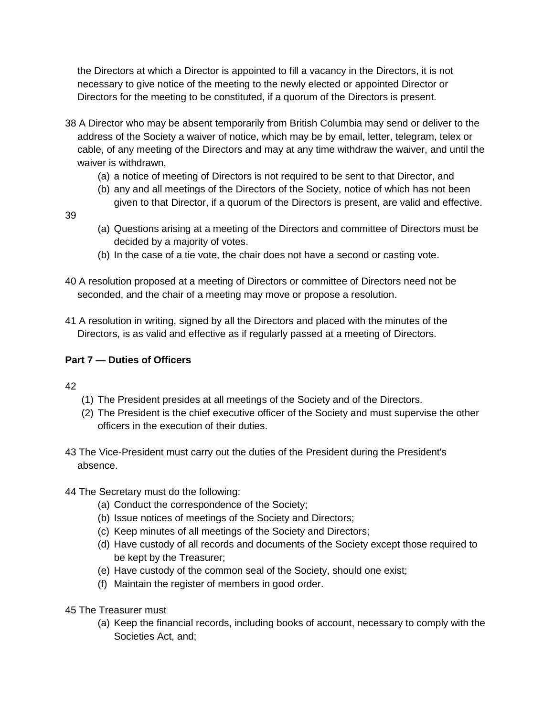the Directors at which a Director is appointed to fill a vacancy in the Directors, it is not necessary to give notice of the meeting to the newly elected or appointed Director or Directors for the meeting to be constituted, if a quorum of the Directors is present.

- 38 A Director who may be absent temporarily from British Columbia may send or deliver to the address of the Society a waiver of notice, which may be by email, letter, telegram, telex or cable, of any meeting of the Directors and may at any time withdraw the waiver, and until the waiver is withdrawn,
	- (a) a notice of meeting of Directors is not required to be sent to that Director, and
	- (b) any and all meetings of the Directors of the Society, notice of which has not been given to that Director, if a quorum of the Directors is present, are valid and effective.

39

- (a) Questions arising at a meeting of the Directors and committee of Directors must be decided by a majority of votes.
- (b) In the case of a tie vote, the chair does not have a second or casting vote.
- 40 A resolution proposed at a meeting of Directors or committee of Directors need not be seconded, and the chair of a meeting may move or propose a resolution.
- 41 A resolution in writing, signed by all the Directors and placed with the minutes of the Directors, is as valid and effective as if regularly passed at a meeting of Directors.

# **Part 7 — Duties of Officers**

42

- (1) The President presides at all meetings of the Society and of the Directors.
- (2) The President is the chief executive officer of the Society and must supervise the other officers in the execution of their duties.
- 43 The Vice-President must carry out the duties of the President during the President's absence.
- 44 The Secretary must do the following:
	- (a) Conduct the correspondence of the Society;
	- (b) Issue notices of meetings of the Society and Directors;
	- (c) Keep minutes of all meetings of the Society and Directors;
	- (d) Have custody of all records and documents of the Society except those required to be kept by the Treasurer;
	- (e) Have custody of the common seal of the Society, should one exist;
	- (f) Maintain the register of members in good order.
- 45 The Treasurer must
	- (a) Keep the financial records, including books of account, necessary to comply with the Societies Act, and;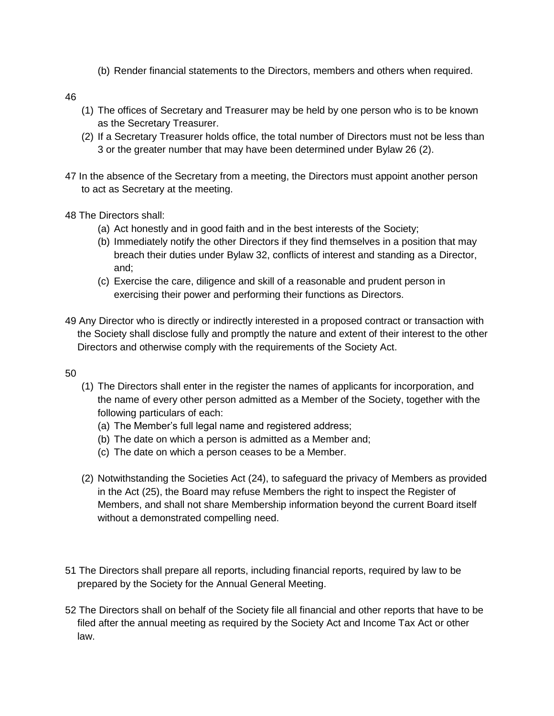(b) Render financial statements to the Directors, members and others when required.

46

- (1) The offices of Secretary and Treasurer may be held by one person who is to be known as the Secretary Treasurer.
- (2) If a Secretary Treasurer holds office, the total number of Directors must not be less than 3 or the greater number that may have been determined under Bylaw 26 (2).
- 47 In the absence of the Secretary from a meeting, the Directors must appoint another person to act as Secretary at the meeting.
- 48 The Directors shall:
	- (a) Act honestly and in good faith and in the best interests of the Society;
	- (b) Immediately notify the other Directors if they find themselves in a position that may breach their duties under Bylaw 32, conflicts of interest and standing as a Director, and;
	- (c) Exercise the care, diligence and skill of a reasonable and prudent person in exercising their power and performing their functions as Directors.
- 49 Any Director who is directly or indirectly interested in a proposed contract or transaction with the Society shall disclose fully and promptly the nature and extent of their interest to the other Directors and otherwise comply with the requirements of the Society Act.

50

- (1) The Directors shall enter in the register the names of applicants for incorporation, and the name of every other person admitted as a Member of the Society, together with the following particulars of each:
	- (a) The Member's full legal name and registered address;
	- (b) The date on which a person is admitted as a Member and;
	- (c) The date on which a person ceases to be a Member.
- (2) Notwithstanding the Societies Act (24), to safeguard the privacy of Members as provided in the Act (25), the Board may refuse Members the right to inspect the Register of Members, and shall not share Membership information beyond the current Board itself without a demonstrated compelling need.
- 51 The Directors shall prepare all reports, including financial reports, required by law to be prepared by the Society for the Annual General Meeting.
- 52 The Directors shall on behalf of the Society file all financial and other reports that have to be filed after the annual meeting as required by the Society Act and Income Tax Act or other law.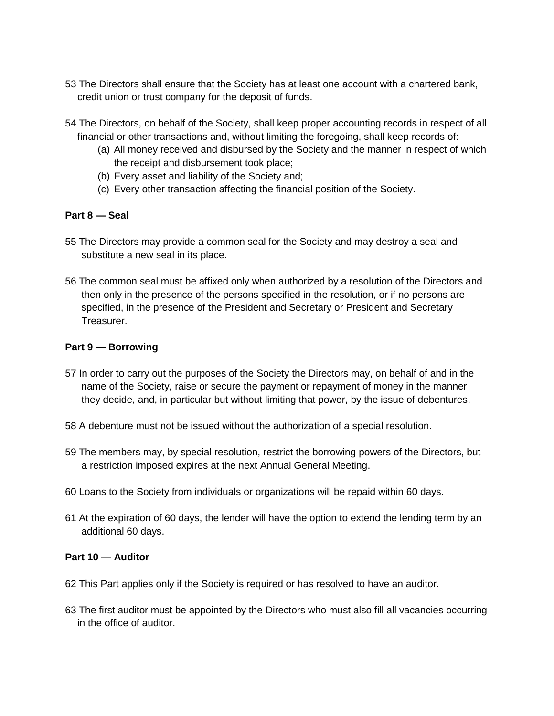- 53 The Directors shall ensure that the Society has at least one account with a chartered bank, credit union or trust company for the deposit of funds.
- 54 The Directors, on behalf of the Society, shall keep proper accounting records in respect of all financial or other transactions and, without limiting the foregoing, shall keep records of:
	- (a) All money received and disbursed by the Society and the manner in respect of which the receipt and disbursement took place;
	- (b) Every asset and liability of the Society and;
	- (c) Every other transaction affecting the financial position of the Society.

## **Part 8 — Seal**

- 55 The Directors may provide a common seal for the Society and may destroy a seal and substitute a new seal in its place.
- 56 The common seal must be affixed only when authorized by a resolution of the Directors and then only in the presence of the persons specified in the resolution, or if no persons are specified, in the presence of the President and Secretary or President and Secretary **Treasurer.**

## **Part 9 — Borrowing**

- 57 In order to carry out the purposes of the Society the Directors may, on behalf of and in the name of the Society, raise or secure the payment or repayment of money in the manner they decide, and, in particular but without limiting that power, by the issue of debentures.
- 58 A debenture must not be issued without the authorization of a special resolution.
- 59 The members may, by special resolution, restrict the borrowing powers of the Directors, but a restriction imposed expires at the next Annual General Meeting.
- 60 Loans to the Society from individuals or organizations will be repaid within 60 days.
- 61 At the expiration of 60 days, the lender will have the option to extend the lending term by an additional 60 days.

## **Part 10 — Auditor**

- 62 This Part applies only if the Society is required or has resolved to have an auditor.
- 63 The first auditor must be appointed by the Directors who must also fill all vacancies occurring in the office of auditor.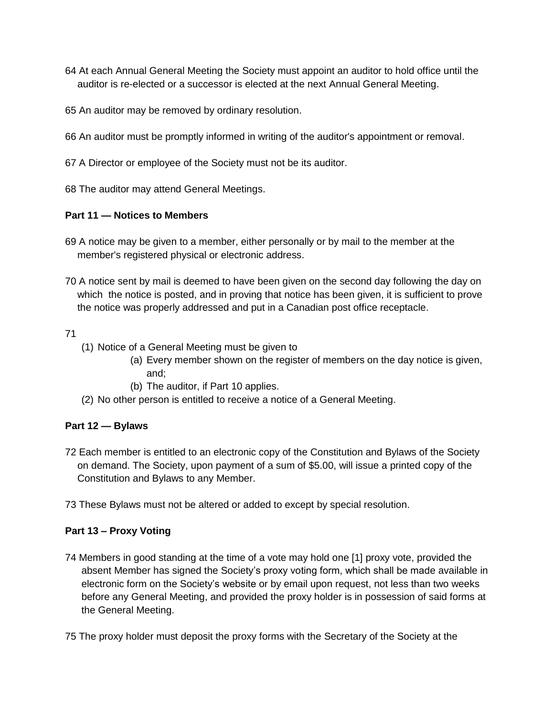- 64 At each Annual General Meeting the Society must appoint an auditor to hold office until the auditor is re-elected or a successor is elected at the next Annual General Meeting.
- 65 An auditor may be removed by ordinary resolution.
- 66 An auditor must be promptly informed in writing of the auditor's appointment or removal.
- 67 A Director or employee of the Society must not be its auditor.
- 68 The auditor may attend General Meetings.

#### **Part 11 — Notices to Members**

- 69 A notice may be given to a member, either personally or by mail to the member at the member's registered physical or electronic address.
- 70 A notice sent by mail is deemed to have been given on the second day following the day on which the notice is posted, and in proving that notice has been given, it is sufficient to prove the notice was properly addressed and put in a Canadian post office receptacle.

#### 71

- (1) Notice of a General Meeting must be given to
	- (a) Every member shown on the register of members on the day notice is given, and;
	- (b) The auditor, if Part 10 applies.
- (2) No other person is entitled to receive a notice of a General Meeting.

## **Part 12 — Bylaws**

- 72 Each member is entitled to an electronic copy of the Constitution and Bylaws of the Society on demand. The Society, upon payment of a sum of \$5.00, will issue a printed copy of the Constitution and Bylaws to any Member.
- 73 These Bylaws must not be altered or added to except by special resolution.

## **Part 13 – Proxy Voting**

- 74 Members in good standing at the time of a vote may hold one [1] proxy vote, provided the absent Member has signed the Society's proxy voting form, which shall be made available in electronic form on the Society's website or by email upon request, not less than two weeks before any General Meeting, and provided the proxy holder is in possession of said forms at the General Meeting.
- 75 The proxy holder must deposit the proxy forms with the Secretary of the Society at the